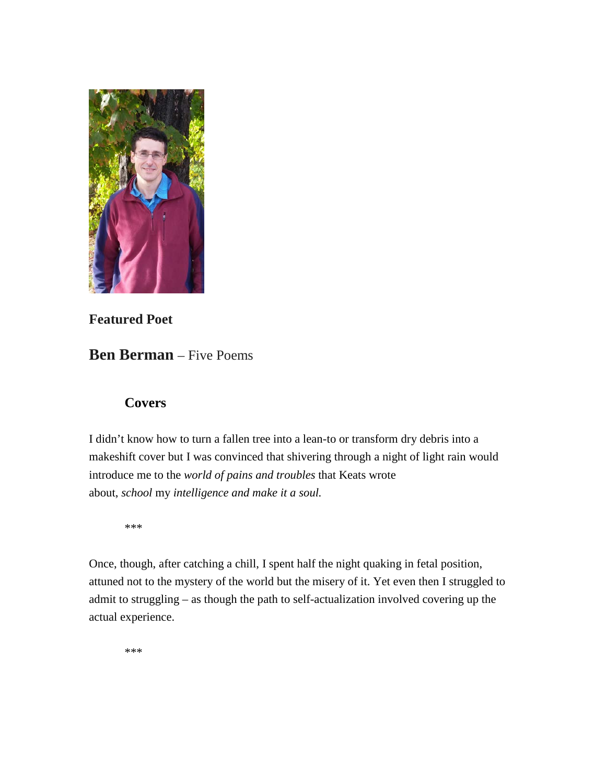

# **Featured Poet**

# **Ben Berman** – Five Poems

## **Covers**

I didn't know how to turn a fallen tree into a lean-to or transform dry debris into a makeshift cover but I was convinced that shivering through a night of light rain would introduce me to the *world of pains and troubles* that Keats wrote about, *school* my *intelligence and make it a soul.*

\*\*\*

Once, though, after catching a chill, I spent half the night quaking in fetal position, attuned not to the mystery of the world but the misery of it. Yet even then I struggled to admit to struggling – as though the path to self-actualization involved covering up the actual experience.

\*\*\*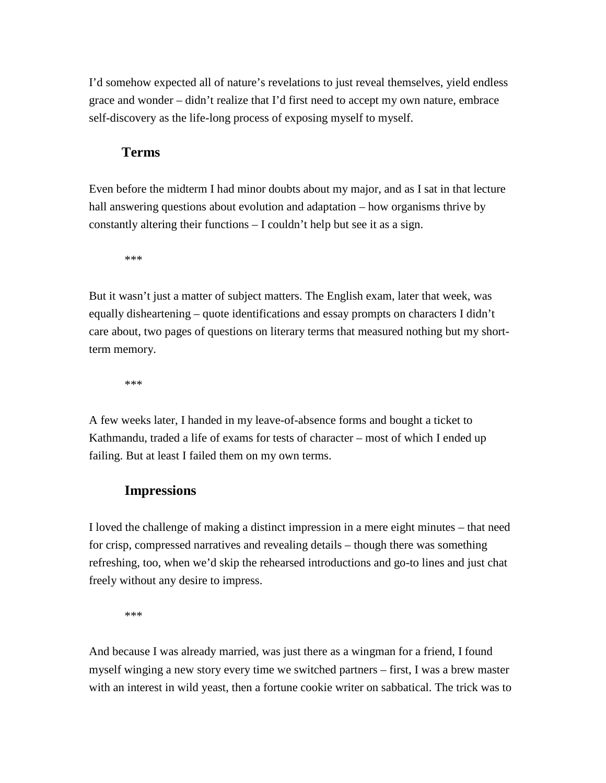I'd somehow expected all of nature's revelations to just reveal themselves, yield endless grace and wonder – didn't realize that I'd first need to accept my own nature, embrace self-discovery as the life-long process of exposing myself to myself.

### **Terms**

Even before the midterm I had minor doubts about my major, and as I sat in that lecture hall answering questions about evolution and adaptation – how organisms thrive by constantly altering their functions – I couldn't help but see it as a sign.

\*\*\*

But it wasn't just a matter of subject matters. The English exam, later that week, was equally disheartening – quote identifications and essay prompts on characters I didn't care about, two pages of questions on literary terms that measured nothing but my shortterm memory.

\*\*\*

A few weeks later, I handed in my leave-of-absence forms and bought a ticket to Kathmandu, traded a life of exams for tests of character – most of which I ended up failing. But at least I failed them on my own terms.

## **Impressions**

I loved the challenge of making a distinct impression in a mere eight minutes – that need for crisp, compressed narratives and revealing details – though there was something refreshing, too, when we'd skip the rehearsed introductions and go-to lines and just chat freely without any desire to impress.

\*\*\*

And because I was already married, was just there as a wingman for a friend, I found myself winging a new story every time we switched partners – first, I was a brew master with an interest in wild yeast, then a fortune cookie writer on sabbatical. The trick was to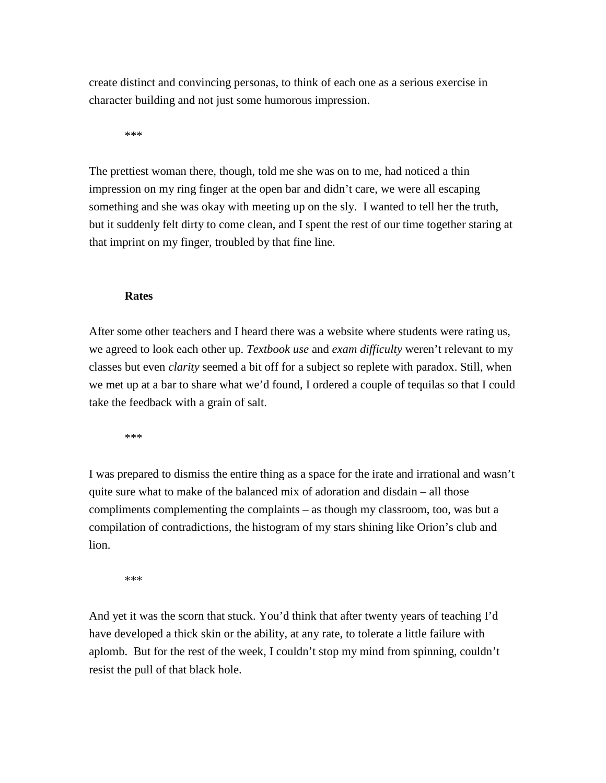create distinct and convincing personas, to think of each one as a serious exercise in character building and not just some humorous impression.

\*\*\*

The prettiest woman there, though, told me she was on to me, had noticed a thin impression on my ring finger at the open bar and didn't care, we were all escaping something and she was okay with meeting up on the sly. I wanted to tell her the truth, but it suddenly felt dirty to come clean, and I spent the rest of our time together staring at that imprint on my finger, troubled by that fine line.

#### **Rates**

After some other teachers and I heard there was a website where students were rating us, we agreed to look each other up. *Textbook use* and *exam difficulty* weren't relevant to my classes but even *clarity* seemed a bit off for a subject so replete with paradox. Still, when we met up at a bar to share what we'd found, I ordered a couple of tequilas so that I could take the feedback with a grain of salt.

\*\*\*

I was prepared to dismiss the entire thing as a space for the irate and irrational and wasn't quite sure what to make of the balanced mix of adoration and disdain – all those compliments complementing the complaints – as though my classroom, too, was but a compilation of contradictions, the histogram of my stars shining like Orion's club and lion.

\*\*\*

And yet it was the scorn that stuck. You'd think that after twenty years of teaching I'd have developed a thick skin or the ability, at any rate, to tolerate a little failure with aplomb. But for the rest of the week, I couldn't stop my mind from spinning, couldn't resist the pull of that black hole.